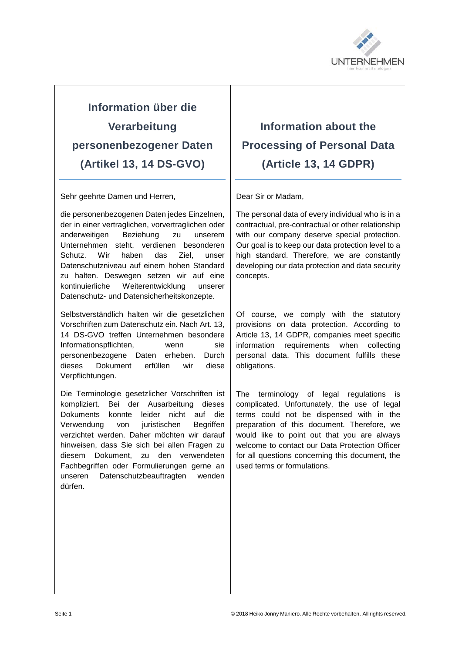

# **Information über die Verarbeitung personenbezogener Daten (Artikel 13, 14 DS-GVO)**

Sehr geehrte Damen und Herren,

die personenbezogenen Daten jedes Einzelnen, der in einer vertraglichen, vorvertraglichen oder anderweitigen Beziehung zu unserem Unternehmen steht, verdienen besonderen Schutz. Wir haben das Ziel, unser Datenschutzniveau auf einem hohen Standard zu halten. Deswegen setzen wir auf eine kontinuierliche Weiterentwicklung unserer Datenschutz- und Datensicherheitskonzepte.

Selbstverständlich halten wir die gesetzlichen Vorschriften zum Datenschutz ein. Nach Art. 13, 14 DS-GVO treffen Unternehmen besondere Informationspflichten, wenn sie personenbezogene Daten erheben. Durch dieses Dokument erfüllen wir diese Verpflichtungen.

Die Terminologie gesetzlicher Vorschriften ist kompliziert. Bei der Ausarbeitung dieses Dokuments konnte leider nicht auf die Verwendung von juristischen Begriffen verzichtet werden. Daher möchten wir darauf hinweisen, dass Sie sich bei allen Fragen zu diesem Dokument, zu den verwendeten Fachbegriffen oder Formulierungen gerne an unseren Datenschutzbeauftragten wenden dürfen.

## **Information about the Processing of Personal Data (Article 13, 14 GDPR)**

Dear Sir or Madam,

The personal data of every individual who is in a contractual, pre-contractual or other relationship with our company deserve special protection. Our goal is to keep our data protection level to a high standard. Therefore, we are constantly developing our data protection and data security concepts.

Of course, we comply with the statutory provisions on data protection. According to Article 13, 14 GDPR, companies meet specific information requirements when collecting personal data. This document fulfills these obligations.

The terminology of legal regulations is complicated. Unfortunately, the use of legal terms could not be dispensed with in the preparation of this document. Therefore, we would like to point out that you are always welcome to contact our Data Protection Officer for all questions concerning this document, the used terms or formulations.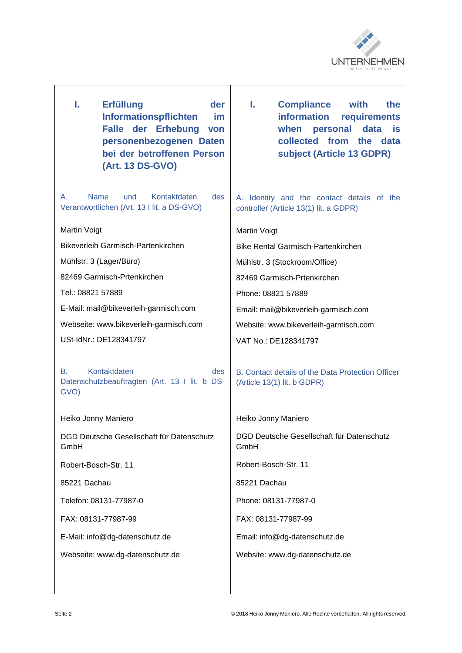

٦

| I.                                                                                        | <b>Erfüllung</b><br><b>der</b><br>Informationspflichten<br>im<br>Falle der Erhebung<br>von<br>personenbezogenen Daten<br>bei der betroffenen Person<br>(Art. 13 DS-GVO) | ı.<br><b>Compliance</b><br>with<br>the<br>information<br>requirements<br>when personal<br>data<br>is<br>collected from the<br>data<br>subject (Article 13 GDPR) |
|-------------------------------------------------------------------------------------------|-------------------------------------------------------------------------------------------------------------------------------------------------------------------------|-----------------------------------------------------------------------------------------------------------------------------------------------------------------|
| A.                                                                                        | Kontaktdaten<br><b>Name</b><br>und<br>des<br>Verantwortlichen (Art. 13 I lit. a DS-GVO)                                                                                 | A. Identity and the contact details of the<br>controller (Article 13(1) lit. a GDPR)                                                                            |
| Martin Voigt                                                                              |                                                                                                                                                                         | Martin Voigt                                                                                                                                                    |
| <b>Bikeverleih Garmisch-Partenkirchen</b>                                                 |                                                                                                                                                                         | <b>Bike Rental Garmisch-Partenkirchen</b>                                                                                                                       |
| Mühlstr. 3 (Lager/Büro)                                                                   |                                                                                                                                                                         | Mühlstr. 3 (Stockroom/Office)                                                                                                                                   |
| 82469 Garmisch-Prtenkirchen                                                               |                                                                                                                                                                         | 82469 Garmisch-Prtenkirchen                                                                                                                                     |
| Tel.: 08821 57889                                                                         |                                                                                                                                                                         | Phone: 08821 57889                                                                                                                                              |
|                                                                                           | E-Mail: mail@bikeverleih-garmisch.com                                                                                                                                   | Email: mail@bikeverleih-garmisch.com                                                                                                                            |
|                                                                                           | Webseite: www.bikeverleih-garmisch.com                                                                                                                                  | Website: www.bikeverleih-garmisch.com                                                                                                                           |
| USt-IdNr.: DE128341797                                                                    |                                                                                                                                                                         | VAT No.: DE128341797                                                                                                                                            |
| Kontaktdaten<br><b>B.</b><br>des<br>Datenschutzbeauftragten (Art. 13 I lit. b DS-<br>GVO) |                                                                                                                                                                         | B. Contact details of the Data Protection Officer<br>(Article 13(1) lit. b GDPR)                                                                                |
| Heiko Jonny Maniero                                                                       |                                                                                                                                                                         | Heiko Jonny Maniero                                                                                                                                             |
| DGD Deutsche Gesellschaft für Datenschutz<br>GmbH                                         |                                                                                                                                                                         | DGD Deutsche Gesellschaft für Datenschutz<br>GmbH                                                                                                               |
| Robert-Bosch-Str. 11                                                                      |                                                                                                                                                                         | Robert-Bosch-Str. 11                                                                                                                                            |
| 85221 Dachau                                                                              |                                                                                                                                                                         | 85221 Dachau                                                                                                                                                    |
| Telefon: 08131-77987-0                                                                    |                                                                                                                                                                         | Phone: 08131-77987-0                                                                                                                                            |
| FAX: 08131-77987-99                                                                       |                                                                                                                                                                         | FAX: 08131-77987-99                                                                                                                                             |
| E-Mail: info@dg-datenschutz.de                                                            |                                                                                                                                                                         | Email: info@dg-datenschutz.de                                                                                                                                   |
| Webseite: www.dg-datenschutz.de                                                           |                                                                                                                                                                         | Website: www.dg-datenschutz.de                                                                                                                                  |
|                                                                                           |                                                                                                                                                                         |                                                                                                                                                                 |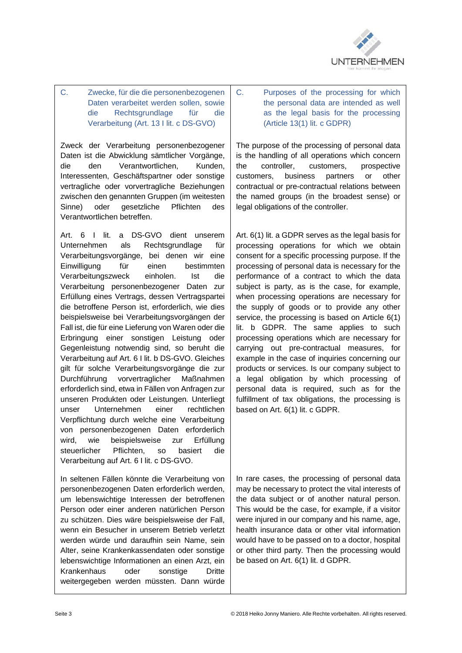

C. Zwecke, für die die personenbezogenen Daten verarbeitet werden sollen, sowie die Rechtsgrundlage für die Verarbeitung (Art. 13 I lit. c DS-GVO)

Zweck der Verarbeitung personenbezogener Daten ist die Abwicklung sämtlicher Vorgänge, die den Verantwortlichen, Kunden, Interessenten, Geschäftspartner oder sonstige vertragliche oder vorvertragliche Beziehungen zwischen den genannten Gruppen (im weitesten Sinne) oder gesetzliche Pflichten des Verantwortlichen betreffen.

Art. 6 I lit. a DS-GVO dient unserem Unternehmen als Rechtsgrundlage für Verarbeitungsvorgänge, bei denen wir eine Einwilligung für einen bestimmten Verarbeitungszweck einholen. Ist die Verarbeitung personenbezogener Daten zur Erfüllung eines Vertrags, dessen Vertragspartei die betroffene Person ist, erforderlich, wie dies beispielsweise bei Verarbeitungsvorgängen der Fall ist, die für eine Lieferung von Waren oder die Erbringung einer sonstigen Leistung oder Gegenleistung notwendig sind, so beruht die Verarbeitung auf Art. 6 I lit. b DS-GVO. Gleiches gilt für solche Verarbeitungsvorgänge die zur Durchführung vorvertraglicher Maßnahmen erforderlich sind, etwa in Fällen von Anfragen zur unseren Produkten oder Leistungen. Unterliegt unser Unternehmen einer rechtlichen Verpflichtung durch welche eine Verarbeitung von personenbezogenen Daten erforderlich wird, wie beispielsweise zur Erfüllung steuerlicher Pflichten, so basiert die Verarbeitung auf Art. 6 I lit. c DS-GVO.

In seltenen Fällen könnte die Verarbeitung von personenbezogenen Daten erforderlich werden, um lebenswichtige Interessen der betroffenen Person oder einer anderen natürlichen Person zu schützen. Dies wäre beispielsweise der Fall, wenn ein Besucher in unserem Betrieb verletzt werden würde und daraufhin sein Name, sein Alter, seine Krankenkassendaten oder sonstige lebenswichtige Informationen an einen Arzt, ein Krankenhaus oder sonstige Dritte weitergegeben werden müssten. Dann würde C. Purposes of the processing for which the personal data are intended as well as the legal basis for the processing (Article 13(1) lit. c GDPR)

The purpose of the processing of personal data is the handling of all operations which concern the controller, customers, prospective customers, business partners or other contractual or pre-contractual relations between the named groups (in the broadest sense) or legal obligations of the controller.

Art. 6(1) lit. a GDPR serves as the legal basis for processing operations for which we obtain consent for a specific processing purpose. If the processing of personal data is necessary for the performance of a contract to which the data subject is party, as is the case, for example, when processing operations are necessary for the supply of goods or to provide any other service, the processing is based on Article 6(1) lit. b GDPR. The same applies to such processing operations which are necessary for carrying out pre-contractual measures, for example in the case of inquiries concerning our products or services. Is our company subject to a legal obligation by which processing of personal data is required, such as for the fulfillment of tax obligations, the processing is based on Art. 6(1) lit. c GDPR.

In rare cases, the processing of personal data may be necessary to protect the vital interests of the data subject or of another natural person. This would be the case, for example, if a visitor were injured in our company and his name, age, health insurance data or other vital information would have to be passed on to a doctor, hospital or other third party. Then the processing would be based on Art. 6(1) lit. d GDPR.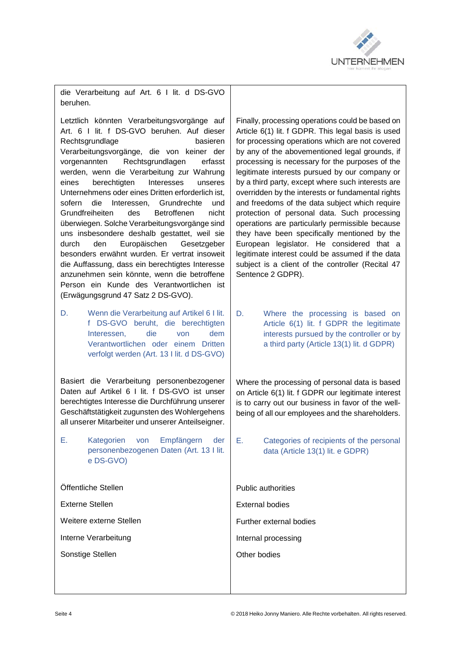

die Verarbeitung auf Art. 6 I lit. d DS-GVO beruhen.

Letztlich könnten Verarbeitungsvorgänge auf Art. 6 I lit. f DS-GVO beruhen. Auf dieser Rechtsgrundlage basieren Verarbeitungsvorgänge, die von keiner der vorgenannten Rechtsgrundlagen erfasst werden, wenn die Verarbeitung zur Wahrung eines berechtigten Interesses unseres Unternehmens oder eines Dritten erforderlich ist, sofern die Interessen, Grundrechte und Grundfreiheiten des Betroffenen nicht überwiegen. Solche Verarbeitungsvorgänge sind uns insbesondere deshalb gestattet, weil sie durch den Europäischen Gesetzgeber besonders erwähnt wurden. Er vertrat insoweit die Auffassung, dass ein berechtigtes Interesse anzunehmen sein könnte, wenn die betroffene Person ein Kunde des Verantwortlichen ist (Erwägungsgrund 47 Satz 2 DS-GVO).

D. Wenn die Verarbeitung auf Artikel 6 I lit. f DS-GVO beruht, die berechtigten Interessen, die von dem Verantwortlichen oder einem Dritten verfolgt werden (Art. 13 I lit. d DS-GVO)

Basiert die Verarbeitung personenbezogener Daten auf Artikel 6 I lit. f DS-GVO ist unser berechtigtes Interesse die Durchführung unserer Geschäftstätigkeit zugunsten des Wohlergehens all unserer Mitarbeiter und unserer Anteilseigner.

E. Kategorien von Empfängern der personenbezogenen Daten (Art. 13 I lit. e DS-GVO)

Finally, processing operations could be based on Article 6(1) lit. f GDPR. This legal basis is used for processing operations which are not covered by any of the abovementioned legal grounds, if processing is necessary for the purposes of the legitimate interests pursued by our company or by a third party, except where such interests are overridden by the interests or fundamental rights and freedoms of the data subject which require protection of personal data. Such processing operations are particularly permissible because they have been specifically mentioned by the European legislator. He considered that a legitimate interest could be assumed if the data subject is a client of the controller (Recital 47 Sentence 2 GDPR).

D. Where the processing is based on Article 6(1) lit. f GDPR the legitimate interests pursued by the controller or by a third party (Article 13(1) lit. d GDPR)

Where the processing of personal data is based on Article 6(1) lit. f GDPR our legitimate interest is to carry out our business in favor of the wellbeing of all our employees and the shareholders.

E. Categories of recipients of the personal data (Article 13(1) lit. e GDPR)

| Öffentliche Stellen     | <b>Public authorities</b> |
|-------------------------|---------------------------|
| Externe Stellen         | External bodies           |
| Weitere externe Stellen | Further external bodies   |
| Interne Verarbeitung    | Internal processing       |
| Sonstige Stellen        | Other bodies              |
|                         |                           |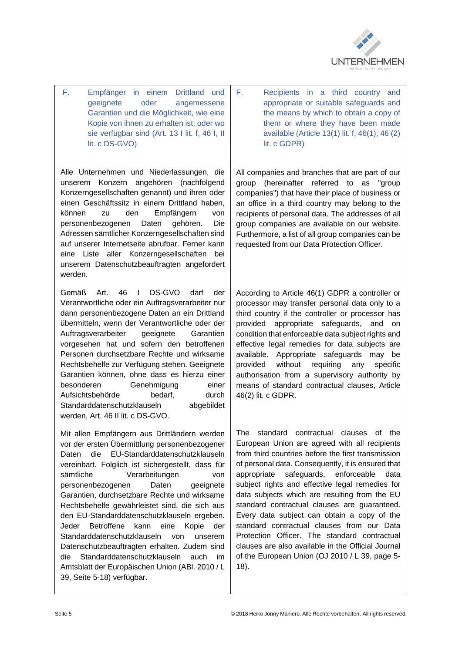

F. Empfänger in einem Drittland und geeignete oder angemessene Garantien und die Möglichkeit, wie eine Kopie von ihnen zu erhalten ist, oder wo sie verfügbar sind (Art. 13 I lit. f, 46 I, II lit. c DS-GVO)

Alle Unternehmen und Niederlassungen, die unserem Konzern angehören (nachfolgend Konzerngesellschaften genannt) und ihren oder einen Geschäftssitz in einem Drittland haben, können zu den Empfängern von personenbezogenen Daten gehören. Die Adressen sämtlicher Konzerngesellschaften sind auf unserer Internetseite abrufbar. Ferner kann eine Liste aller Konzerngesellschaften bei unserem Datenschutzbeauftragten angefordert werden.

Gemäß Art. 46 I DS-GVO darf der Verantwortliche oder ein Auftragsverarbeiter nur dann personenbezogene Daten an ein Drittland übermitteln, wenn der Verantwortliche oder der Auftragsverarbeiter geeignete Garantien vorgesehen hat und sofern den betroffenen Personen durchsetzbare Rechte und wirksame Rechtsbehelfe zur Verfügung stehen. Geeignete Garantien können, ohne dass es hierzu einer besonderen Genehmigung einer Aufsichtsbehörde bedarf, durch Standarddatenschutzklauseln abgebildet werden, Art. 46 II lit. c DS-GVO.

Mit allen Empfängern aus Drittländern werden vor der ersten Übermittlung personenbezogener Daten die EU-Standarddatenschutzklauseln vereinbart. Folglich ist sichergestellt, dass für sämtliche Verarbeitungen von personenbezogenen Daten geeignete Garantien, durchsetzbare Rechte und wirksame Rechtsbehelfe gewährleistet sind, die sich aus den EU-Standarddatenschutzklauseln ergeben. Jeder Betroffene kann eine Kopie der Standarddatenschutzklauseln von unserem Datenschutzbeauftragten erhalten. Zudem sind die Standarddatenschutzklauseln auch im Amtsblatt der Europäischen Union (ABl. 2010 / L 39, Seite 5-18) verfügbar.

F. Recipients in a third country and appropriate or suitable safeguards and the means by which to obtain a copy of them or where they have been made available (Article 13(1) lit. f, 46(1), 46 (2) lit. c GDPR)

All companies and branches that are part of our group (hereinafter referred to as "group companies") that have their place of business or an office in a third country may belong to the recipients of personal data. The addresses of all group companies are available on our website. Furthermore, a list of all group companies can be requested from our Data Protection Officer.

According to Article 46(1) GDPR a controller or processor may transfer personal data only to a third country if the controller or processor has provided appropriate safeguards, and on condition that enforceable data subject rights and effective legal remedies for data subjects are available. Appropriate safeguards may be provided without requiring any specific authorisation from a supervisory authority by means of standard contractual clauses, Article 46(2) lit. c GDPR.

The standard contractual clauses of the European Union are agreed with all recipients from third countries before the first transmission of personal data. Consequently, it is ensured that appropriate safeguards, enforceable data subject rights and effective legal remedies for data subjects which are resulting from the EU standard contractual clauses are guaranteed. Every data subject can obtain a copy of the standard contractual clauses from our Data Protection Officer. The standard contractual clauses are also available in the Official Journal of the European Union (OJ 2010 / L 39, page 5- 18).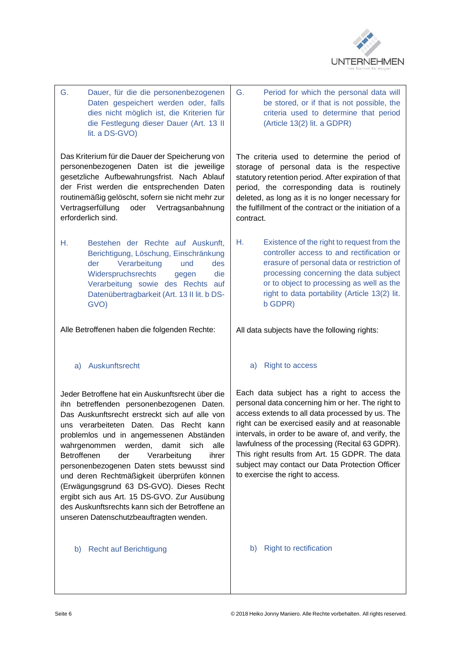

G. Dauer, für die die personenbezogenen Daten gespeichert werden oder, falls dies nicht möglich ist, die Kriterien für die Festlegung dieser Dauer (Art. 13 II lit. a DS-GVO)

Das Kriterium für die Dauer der Speicherung von personenbezogenen Daten ist die jeweilige gesetzliche Aufbewahrungsfrist. Nach Ablauf der Frist werden die entsprechenden Daten routinemäßig gelöscht, sofern sie nicht mehr zur Vertragserfüllung oder Vertragsanbahnung erforderlich sind.

H. Bestehen der Rechte auf Auskunft, Berichtigung, Löschung, Einschränkung der Verarbeitung und des Widerspruchsrechts gegen die Verarbeitung sowie des Rechts auf Datenübertragbarkeit (Art. 13 II lit. b DS-GVO)

Alle Betroffenen haben die folgenden Rechte:

### a) Auskunftsrecht

Jeder Betroffene hat ein Auskunftsrecht über die ihn betreffenden personenbezogenen Daten. Das Auskunftsrecht erstreckt sich auf alle von uns verarbeiteten Daten. Das Recht kann problemlos und in angemessenen Abständen wahrgenommen werden, damit sich alle Betroffenen der Verarbeitung ihrer personenbezogenen Daten stets bewusst sind und deren Rechtmäßigkeit überprüfen können (Erwägungsgrund 63 DS-GVO). Dieses Recht ergibt sich aus Art. 15 DS-GVO. Zur Ausübung des Auskunftsrechts kann sich der Betroffene an unseren Datenschutzbeauftragten wenden.

b) Recht auf Berichtigung

G. Period for which the personal data will be stored, or if that is not possible, the criteria used to determine that period (Article 13(2) lit. a GDPR)

The criteria used to determine the period of storage of personal data is the respective statutory retention period. After expiration of that period, the corresponding data is routinely deleted, as long as it is no longer necessary for the fulfillment of the contract or the initiation of a contract.

H. Existence of the right to request from the controller access to and rectification or erasure of personal data or restriction of processing concerning the data subject or to object to processing as well as the right to data portability (Article 13(2) lit. b GDPR)

All data subjects have the following rights:

### a) Right to access

Each data subject has a right to access the personal data concerning him or her. The right to access extends to all data processed by us. The right can be exercised easily and at reasonable intervals, in order to be aware of, and verify, the lawfulness of the processing (Recital 63 GDPR). This right results from Art. 15 GDPR. The data subject may contact our Data Protection Officer to exercise the right to access.

### b) Right to rectification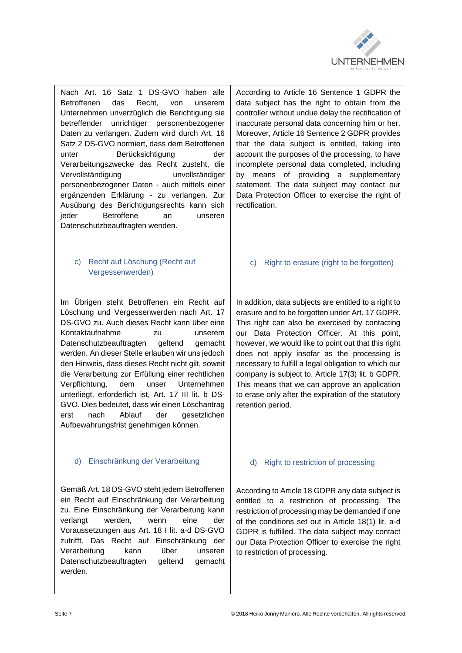

Nach Art. 16 Satz 1 DS-GVO haben alle Betroffenen das Recht, von unserem Unternehmen unverzüglich die Berichtigung sie betreffender unrichtiger personenbezogener Daten zu verlangen. Zudem wird durch Art. 16 Satz 2 DS-GVO normiert, dass dem Betroffenen unter Berücksichtigung der Verarbeitungszwecke das Recht zusteht, die Vervollständigung unvollständiger personenbezogener Daten - auch mittels einer ergänzenden Erklärung - zu verlangen. Zur Ausübung des Berichtigungsrechts kann sich jeder Betroffene an unseren Datenschutzbeauftragten wenden.

## c) Recht auf Löschung (Recht auf Vergessenwerden)

Im Übrigen steht Betroffenen ein Recht auf Löschung und Vergessenwerden nach Art. 17 DS-GVO zu. Auch dieses Recht kann über eine Kontaktaufnahme zu unserem Datenschutzbeauftragten geltend gemacht werden. An dieser Stelle erlauben wir uns jedoch den Hinweis, dass dieses Recht nicht gilt, soweit die Verarbeitung zur Erfüllung einer rechtlichen Verpflichtung, dem unser Unternehmen unterliegt, erforderlich ist, Art. 17 III lit. b DS-GVO. Dies bedeutet, dass wir einen Löschantrag erst nach Ablauf der gesetzlichen Aufbewahrungsfrist genehmigen können.

### d) Einschränkung der Verarbeitung

Gemäß Art. 18 DS-GVO steht jedem Betroffenen ein Recht auf Einschränkung der Verarbeitung zu. Eine Einschränkung der Verarbeitung kann verlangt werden, wenn eine der Voraussetzungen aus Art. 18 I lit. a-d DS-GVO zutrifft. Das Recht auf Einschränkung der Verarbeitung kann über unseren Datenschutzbeauftragten geltend gemacht werden.

According to Article 16 Sentence 1 GDPR the data subject has the right to obtain from the controller without undue delay the rectification of inaccurate personal data concerning him or her. Moreover, Article 16 Sentence 2 GDPR provides that the data subject is entitled, taking into account the purposes of the processing, to have incomplete personal data completed, including by means of providing a supplementary statement. The data subject may contact our Data Protection Officer to exercise the right of rectification.

#### c) Right to erasure (right to be forgotten)

In addition, data subjects are entitled to a right to erasure and to be forgotten under Art. 17 GDPR. This right can also be exercised by contacting our Data Protection Officer. At this point, however, we would like to point out that this right does not apply insofar as the processing is necessary to fulfill a legal obligation to which our company is subject to, Article 17(3) lit. b GDPR. This means that we can approve an application to erase only after the expiration of the statutory retention period.

#### d) Right to restriction of processing

According to Article 18 GDPR any data subject is entitled to a restriction of processing. The restriction of processing may be demanded if one of the conditions set out in Article 18(1) lit. a-d GDPR is fulfilled. The data subject may contact our Data Protection Officer to exercise the right to restriction of processing.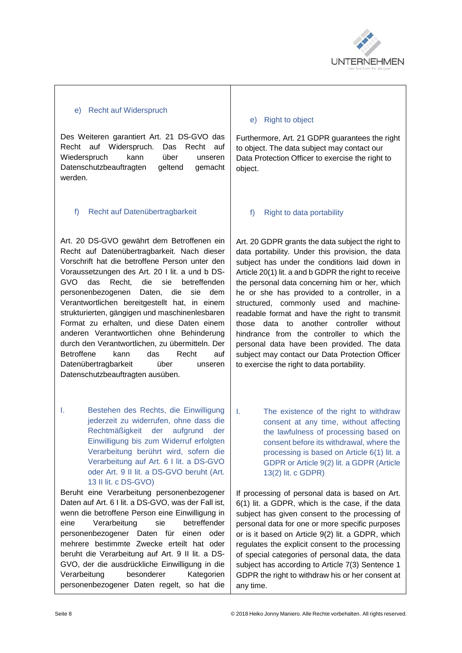

#### e) Recht auf Widerspruch

Des Weiteren garantiert Art. 21 DS-GVO das Recht auf Widerspruch. Das Recht auf Wiederspruch kann über unseren Datenschutzbeauftragten geltend gemacht werden.

### f) Recht auf Datenübertragbarkeit

Art. 20 DS-GVO gewährt dem Betroffenen ein Recht auf Datenübertragbarkeit. Nach dieser Vorschrift hat die betroffene Person unter den Voraussetzungen des Art. 20 I lit. a und b DS-GVO das Recht, die sie betreffenden personenbezogenen Daten, die sie dem Verantwortlichen bereitgestellt hat, in einem strukturierten, gängigen und maschinenlesbaren Format zu erhalten, und diese Daten einem anderen Verantwortlichen ohne Behinderung durch den Verantwortlichen, zu übermitteln. Der Betroffene kann das Recht auf Datenübertragbarkeit über unseren Datenschutzbeauftragten ausüben.

I. Bestehen des Rechts, die Einwilligung jederzeit zu widerrufen, ohne dass die Rechtmäßigkeit der aufgrund der Einwilligung bis zum Widerruf erfolgten Verarbeitung berührt wird, sofern die Verarbeitung auf Art. 6 I lit. a DS-GVO oder Art. 9 II lit. a DS-GVO beruht (Art. 13 II lit. c DS-GVO)

Beruht eine Verarbeitung personenbezogener Daten auf Art. 6 I lit. a DS-GVO, was der Fall ist, wenn die betroffene Person eine Einwilligung in eine Verarbeitung sie betreffender personenbezogener Daten für einen oder mehrere bestimmte Zwecke erteilt hat oder beruht die Verarbeitung auf Art. 9 II lit. a DS-GVO, der die ausdrückliche Einwilligung in die Verarbeitung besonderer Kategorien personenbezogener Daten regelt, so hat die

#### e) Right to object

Furthermore, Art. 21 GDPR guarantees the right to object. The data subject may contact our Data Protection Officer to exercise the right to object.

#### f) Right to data portability

Art. 20 GDPR grants the data subject the right to data portability. Under this provision, the data subject has under the conditions laid down in Article 20(1) lit. a and b GDPR the right to receive the personal data concerning him or her, which he or she has provided to a controller, in a structured, commonly used and machinereadable format and have the right to transmit those data to another controller without hindrance from the controller to which the personal data have been provided. The data subject may contact our Data Protection Officer to exercise the right to data portability.

I. The existence of the right to withdraw consent at any time, without affecting the lawfulness of processing based on consent before its withdrawal, where the processing is based on Article 6(1) lit. a GDPR or Article 9(2) lit. a GDPR (Article 13(2) lit. c GDPR)

If processing of personal data is based on Art. 6(1) lit. a GDPR, which is the case, if the data subject has given consent to the processing of personal data for one or more specific purposes or is it based on Article 9(2) lit. a GDPR, which regulates the explicit consent to the processing of special categories of personal data, the data subject has according to Article 7(3) Sentence 1 GDPR the right to withdraw his or her consent at any time.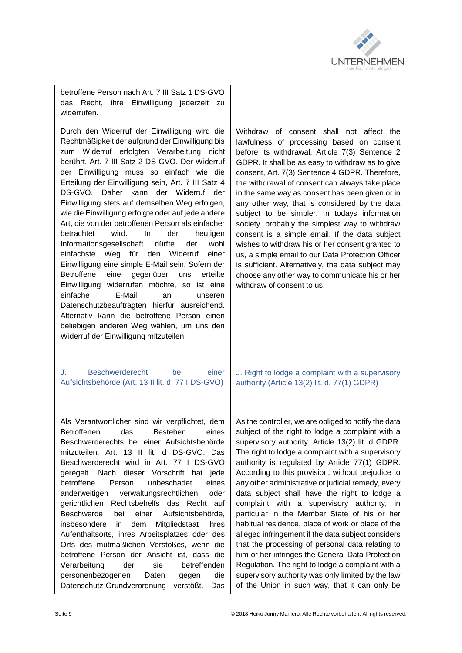

betroffene Person nach Art. 7 III Satz 1 DS-GVO das Recht, ihre Einwilligung jederzeit zu widerrufen.

Durch den Widerruf der Einwilligung wird die Rechtmäßigkeit der aufgrund der Einwilligung bis zum Widerruf erfolgten Verarbeitung nicht berührt, Art. 7 III Satz 2 DS-GVO. Der Widerruf der Einwilligung muss so einfach wie die Erteilung der Einwilligung sein, Art. 7 III Satz 4 DS-GVO. Daher kann der Widerruf der Einwilligung stets auf demselben Weg erfolgen, wie die Einwilligung erfolgte oder auf jede andere Art, die von der betroffenen Person als einfacher betrachtet wird. In der heutigen Informationsgesellschaft dürfte der wohl einfachste Weg für den Widerruf einer Einwilligung eine simple E-Mail sein. Sofern der Betroffene eine gegenüber uns erteilte Einwilligung widerrufen möchte, so ist eine einfache E-Mail an unseren Datenschutzbeauftragten hierfür ausreichend. Alternativ kann die betroffene Person einen beliebigen anderen Weg wählen, um uns den Widerruf der Einwilligung mitzuteilen.

J. Beschwerderecht bei einer Aufsichtsbehörde (Art. 13 II lit. d, 77 I DS-GVO)

Als Verantwortlicher sind wir verpflichtet, dem Betroffenen das Bestehen eines Beschwerderechts bei einer Aufsichtsbehörde mitzuteilen, Art. 13 II lit. d DS-GVO. Das Beschwerderecht wird in Art. 77 I DS-GVO geregelt. Nach dieser Vorschrift hat jede betroffene Person unbeschadet eines anderweitigen verwaltungsrechtlichen oder gerichtlichen Rechtsbehelfs das Recht auf Beschwerde bei einer Aufsichtsbehörde, insbesondere in dem Mitgliedstaat ihres Aufenthaltsorts, ihres Arbeitsplatzes oder des Orts des mutmaßlichen Verstoßes, wenn die betroffene Person der Ansicht ist, dass die Verarbeitung der sie betreffenden personenbezogenen Daten gegen die Datenschutz-Grundverordnung verstößt. Das

Withdraw of consent shall not affect the lawfulness of processing based on consent before its withdrawal, Article 7(3) Sentence 2 GDPR. It shall be as easy to withdraw as to give consent, Art. 7(3) Sentence 4 GDPR. Therefore, the withdrawal of consent can always take place in the same way as consent has been given or in any other way, that is considered by the data subject to be simpler. In todays information society, probably the simplest way to withdraw consent is a simple email. If the data subject wishes to withdraw his or her consent granted to us, a simple email to our Data Protection Officer is sufficient. Alternatively, the data subject may choose any other way to communicate his or her withdraw of consent to us.

J. Right to lodge a complaint with a supervisory authority (Article 13(2) lit. d, 77(1) GDPR)

As the controller, we are obliged to notify the data subject of the right to lodge a complaint with a supervisory authority, Article 13(2) lit. d GDPR. The right to lodge a complaint with a supervisory authority is regulated by Article 77(1) GDPR. According to this provision, without prejudice to any other administrative or judicial remedy, every data subject shall have the right to lodge a complaint with a supervisory authority, in particular in the Member State of his or her habitual residence, place of work or place of the alleged infringement if the data subject considers that the processing of personal data relating to him or her infringes the General Data Protection Regulation. The right to lodge a complaint with a supervisory authority was only limited by the law of the Union in such way, that it can only be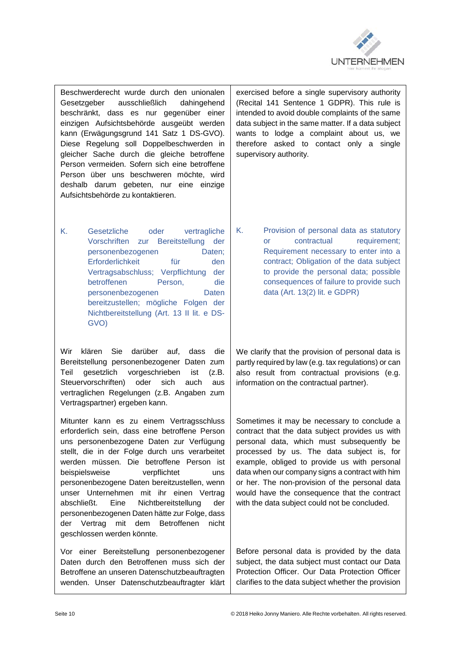

Beschwerderecht wurde durch den unionalen Gesetzgeber ausschließlich dahingehend beschränkt, dass es nur gegenüber einer einzigen Aufsichtsbehörde ausgeübt werden kann (Erwägungsgrund 141 Satz 1 DS-GVO). Diese Regelung soll Doppelbeschwerden in gleicher Sache durch die gleiche betroffene Person vermeiden. Sofern sich eine betroffene Person über uns beschweren möchte, wird deshalb darum gebeten, nur eine einzige Aufsichtsbehörde zu kontaktieren.

exercised before a single supervisory authority (Recital 141 Sentence 1 GDPR). This rule is intended to avoid double complaints of the same data subject in the same matter. If a data subject wants to lodge a complaint about us, we therefore asked to contact only a single supervisory authority.

K. Gesetzliche oder vertragliche Vorschriften zur Bereitstellung der personenbezogenen Daten; Erforderlichkeit für den Vertragsabschluss; Verpflichtung der betroffenen Person, die personenbezogenen Daten bereitzustellen; mögliche Folgen der Nichtbereitstellung (Art. 13 II lit. e DS-GVO)

Wir klären Sie darüber auf, dass die Bereitstellung personenbezogener Daten zum Teil gesetzlich vorgeschrieben ist (z.B. Steuervorschriften) oder sich auch aus vertraglichen Regelungen (z.B. Angaben zum Vertragspartner) ergeben kann.

Mitunter kann es zu einem Vertragsschluss erforderlich sein, dass eine betroffene Person uns personenbezogene Daten zur Verfügung stellt, die in der Folge durch uns verarbeitet werden müssen. Die betroffene Person ist beispielsweise verpflichtet uns personenbezogene Daten bereitzustellen, wenn unser Unternehmen mit ihr einen Vertrag abschließt. Eine Nichtbereitstellung der personenbezogenen Daten hätte zur Folge, dass der Vertrag mit dem Betroffenen nicht geschlossen werden könnte.

Vor einer Bereitstellung personenbezogener Daten durch den Betroffenen muss sich der Betroffene an unseren Datenschutzbeauftragten wenden. Unser Datenschutzbeauftragter klärt K. Provision of personal data as statutory or contractual requirement; Requirement necessary to enter into a contract; Obligation of the data subject to provide the personal data; possible consequences of failure to provide such data (Art. 13(2) lit. e GDPR)

We clarify that the provision of personal data is partly required by law (e.g. tax regulations) or can also result from contractual provisions (e.g. information on the contractual partner).

Sometimes it may be necessary to conclude a contract that the data subject provides us with personal data, which must subsequently be processed by us. The data subject is, for example, obliged to provide us with personal data when our company signs a contract with him or her. The non-provision of the personal data would have the consequence that the contract with the data subject could not be concluded.

Before personal data is provided by the data subject, the data subject must contact our Data Protection Officer. Our Data Protection Officer clarifies to the data subject whether the provision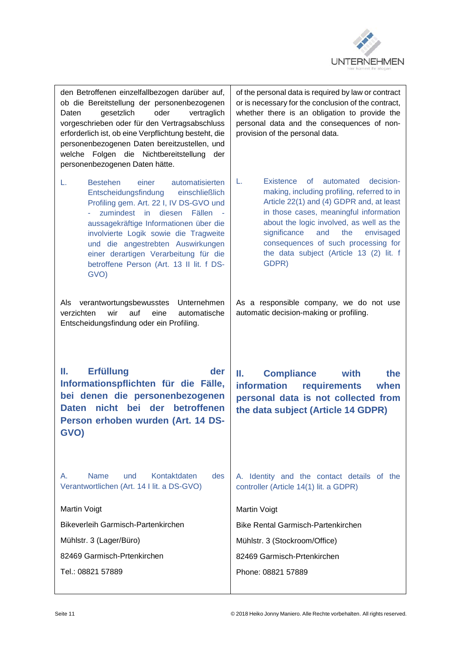

| den Betroffenen einzelfallbezogen darüber auf,<br>ob die Bereitstellung der personenbezogenen<br>oder<br>gesetzlich<br>vertraglich<br>Daten<br>vorgeschrieben oder für den Vertragsabschluss<br>erforderlich ist, ob eine Verpflichtung besteht, die<br>personenbezogenen Daten bereitzustellen, und<br>Folgen die Nichtbereitstellung<br>welche<br>der<br>personenbezogenen Daten hätte.         | of the personal data is required by law or contract<br>or is necessary for the conclusion of the contract,<br>whether there is an obligation to provide the<br>personal data and the consequences of non-<br>provision of the personal data.                                                                                                                                  |
|---------------------------------------------------------------------------------------------------------------------------------------------------------------------------------------------------------------------------------------------------------------------------------------------------------------------------------------------------------------------------------------------------|-------------------------------------------------------------------------------------------------------------------------------------------------------------------------------------------------------------------------------------------------------------------------------------------------------------------------------------------------------------------------------|
| <b>Bestehen</b><br>einer<br>automatisierten<br>L.<br>Entscheidungsfindung<br>einschließlich<br>Profiling gem. Art. 22 I, IV DS-GVO und<br>zumindest<br>in diesen<br>Fällen -<br>aussagekräftige Informationen über die<br>involvierte Logik sowie die Tragweite<br>und die angestrebten Auswirkungen<br>einer derartigen Verarbeitung für die<br>betroffene Person (Art. 13 II lit. f DS-<br>GVO) | decision-<br>L.<br>Existence<br><b>of</b><br>automated<br>making, including profiling, referred to in<br>Article 22(1) and (4) GDPR and, at least<br>in those cases, meaningful information<br>about the logic involved, as well as the<br>significance<br>the<br>and<br>envisaged<br>consequences of such processing for<br>the data subject (Article 13 (2) lit. f<br>GDPR) |
| verantwortungsbewusstes<br>Unternehmen<br>Als<br>wir<br>auf<br>eine<br>automatische<br>verzichten<br>Entscheidungsfindung oder ein Profiling.                                                                                                                                                                                                                                                     | As a responsible company, we do not use<br>automatic decision-making or profiling.                                                                                                                                                                                                                                                                                            |
| <b>Erfüllung</b><br>Ш.<br>der<br>Informationspflichten für die Fälle,<br>bei denen die personenbezogenen<br>nicht bei<br>der<br>betroffenen<br><b>Daten</b><br>Person erhoben wurden (Art. 14 DS-<br>GVO)                                                                                                                                                                                         | н.<br><b>Compliance</b><br>with<br>the<br><b>information</b><br>requirements<br>when<br>personal data is not collected from<br>the data subject (Article 14 GDPR)                                                                                                                                                                                                             |
| <b>Name</b><br>und<br>Kontaktdaten<br>А.<br>des<br>Verantwortlichen (Art. 14 I lit. a DS-GVO)                                                                                                                                                                                                                                                                                                     | A. Identity and the contact details of the<br>controller (Article 14(1) lit. a GDPR)                                                                                                                                                                                                                                                                                          |
| Martin Voigt                                                                                                                                                                                                                                                                                                                                                                                      | Martin Voigt                                                                                                                                                                                                                                                                                                                                                                  |
| Bikeverleih Garmisch-Partenkirchen                                                                                                                                                                                                                                                                                                                                                                | Bike Rental Garmisch-Partenkirchen                                                                                                                                                                                                                                                                                                                                            |
| Mühlstr. 3 (Lager/Büro)                                                                                                                                                                                                                                                                                                                                                                           | Mühlstr. 3 (Stockroom/Office)                                                                                                                                                                                                                                                                                                                                                 |
| 82469 Garmisch-Prtenkirchen                                                                                                                                                                                                                                                                                                                                                                       | 82469 Garmisch-Prtenkirchen                                                                                                                                                                                                                                                                                                                                                   |
| Tel.: 08821 57889                                                                                                                                                                                                                                                                                                                                                                                 | Phone: 08821 57889                                                                                                                                                                                                                                                                                                                                                            |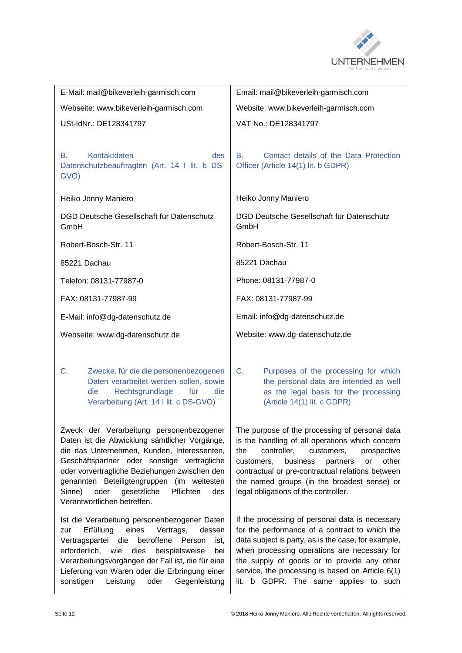

| E-Mail: mail@bikeverleih-garmisch.com                                                                                                                                                                                                                                                                                                                                      | Email: mail@bikeverleih-garmisch.com                                                                                                                                                                                                                                                                                                                   |  |  |  |
|----------------------------------------------------------------------------------------------------------------------------------------------------------------------------------------------------------------------------------------------------------------------------------------------------------------------------------------------------------------------------|--------------------------------------------------------------------------------------------------------------------------------------------------------------------------------------------------------------------------------------------------------------------------------------------------------------------------------------------------------|--|--|--|
| Webseite: www.bikeverleih-garmisch.com                                                                                                                                                                                                                                                                                                                                     | Website: www.bikeverleih-garmisch.com                                                                                                                                                                                                                                                                                                                  |  |  |  |
| USt-IdNr.: DE128341797                                                                                                                                                                                                                                                                                                                                                     | VAT No.: DE128341797                                                                                                                                                                                                                                                                                                                                   |  |  |  |
| Kontaktdaten<br>В.<br>des<br>Datenschutzbeauftragten (Art. 14 I lit. b DS-<br>GVO)                                                                                                                                                                                                                                                                                         | Contact details of the Data Protection<br>В.<br>Officer (Article 14(1) lit. b GDPR)                                                                                                                                                                                                                                                                    |  |  |  |
| Heiko Jonny Maniero                                                                                                                                                                                                                                                                                                                                                        | Heiko Jonny Maniero                                                                                                                                                                                                                                                                                                                                    |  |  |  |
| DGD Deutsche Gesellschaft für Datenschutz<br>GmbH                                                                                                                                                                                                                                                                                                                          | DGD Deutsche Gesellschaft für Datenschutz<br>GmbH                                                                                                                                                                                                                                                                                                      |  |  |  |
| Robert-Bosch-Str. 11                                                                                                                                                                                                                                                                                                                                                       | Robert-Bosch-Str. 11                                                                                                                                                                                                                                                                                                                                   |  |  |  |
| 85221 Dachau                                                                                                                                                                                                                                                                                                                                                               | 85221 Dachau                                                                                                                                                                                                                                                                                                                                           |  |  |  |
| Telefon: 08131-77987-0                                                                                                                                                                                                                                                                                                                                                     | Phone: 08131-77987-0                                                                                                                                                                                                                                                                                                                                   |  |  |  |
| FAX: 08131-77987-99                                                                                                                                                                                                                                                                                                                                                        | FAX: 08131-77987-99                                                                                                                                                                                                                                                                                                                                    |  |  |  |
| E-Mail: info@dg-datenschutz.de                                                                                                                                                                                                                                                                                                                                             | Email: info@dg-datenschutz.de                                                                                                                                                                                                                                                                                                                          |  |  |  |
| Webseite: www.dg-datenschutz.de                                                                                                                                                                                                                                                                                                                                            | Website: www.dg-datenschutz.de                                                                                                                                                                                                                                                                                                                         |  |  |  |
| C.<br>Zwecke, für die die personenbezogenen<br>Daten verarbeitet werden sollen, sowie<br>Rechtsgrundlage<br>für<br>die<br>die<br>Verarbeitung (Art. 14 I lit. c DS-GVO)                                                                                                                                                                                                    | C.<br>Purposes of the processing for which<br>the personal data are intended as well<br>as the legal basis for the processing<br>(Article 14(1) lit. c GDPR)                                                                                                                                                                                           |  |  |  |
| Zweck der Verarbeitung personenbezogener<br>Daten ist die Abwicklung sämtlicher Vorgänge,<br>die das Unternehmen, Kunden, Interessenten,<br>Geschäftspartner oder sonstige vertragliche<br>oder vorvertragliche Beziehungen zwischen den<br>genannten Beteiligtengruppen (im weitesten<br>oder<br>gesetzliche<br>Sinne)<br>Pflichten<br>des<br>Verantwortlichen betreffen. | The purpose of the processing of personal data<br>is the handling of all operations which concern<br>the<br>controller,<br>customers,<br>prospective<br>business<br>partners<br>other<br>customers,<br>or<br>contractual or pre-contractual relations between<br>the named groups (in the broadest sense) or<br>legal obligations of the controller.   |  |  |  |
| Ist die Verarbeitung personenbezogener Daten<br>eines<br>Vertrags,<br>Erfüllung<br>dessen<br>zur<br>Vertragspartei die<br>betroffene<br>Person<br>ist,<br>erforderlich,<br>dies<br>beispielsweise<br>wie<br>bei<br>Verarbeitungsvorgängen der Fall ist, die für eine<br>Lieferung von Waren oder die Erbringung einer<br>sonstigen<br>Gegenleistung<br>Leistung<br>oder    | If the processing of personal data is necessary<br>for the performance of a contract to which the<br>data subject is party, as is the case, for example,<br>when processing operations are necessary for<br>the supply of goods or to provide any other<br>service, the processing is based on Article $6(1)$<br>lit. b GDPR. The same applies to such |  |  |  |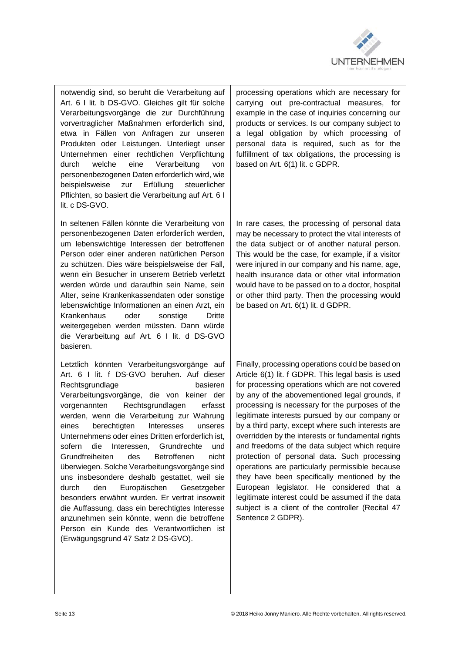

notwendig sind, so beruht die Verarbeitung auf Art. 6 I lit. b DS-GVO. Gleiches gilt für solche Verarbeitungsvorgänge die zur Durchführung vorvertraglicher Maßnahmen erforderlich sind, etwa in Fällen von Anfragen zur unseren Produkten oder Leistungen. Unterliegt unser Unternehmen einer rechtlichen Verpflichtung durch welche eine Verarbeitung von personenbezogenen Daten erforderlich wird, wie beispielsweise zur Erfüllung steuerlicher Pflichten, so basiert die Verarbeitung auf Art. 6 I lit. c DS-GVO.

In seltenen Fällen könnte die Verarbeitung von personenbezogenen Daten erforderlich werden, um lebenswichtige Interessen der betroffenen Person oder einer anderen natürlichen Person zu schützen. Dies wäre beispielsweise der Fall, wenn ein Besucher in unserem Betrieb verletzt werden würde und daraufhin sein Name, sein Alter, seine Krankenkassendaten oder sonstige lebenswichtige Informationen an einen Arzt, ein Krankenhaus oder sonstige Dritte weitergegeben werden müssten. Dann würde die Verarbeitung auf Art. 6 I lit. d DS-GVO basieren.

Letztlich könnten Verarbeitungsvorgänge auf Art. 6 I lit. f DS-GVO beruhen. Auf dieser Rechtsgrundlage basieren Verarbeitungsvorgänge, die von keiner der vorgenannten Rechtsgrundlagen erfasst werden, wenn die Verarbeitung zur Wahrung eines berechtigten Interesses unseres Unternehmens oder eines Dritten erforderlich ist, sofern die Interessen, Grundrechte und Grundfreiheiten des Betroffenen nicht überwiegen. Solche Verarbeitungsvorgänge sind uns insbesondere deshalb gestattet, weil sie durch den Europäischen Gesetzgeber besonders erwähnt wurden. Er vertrat insoweit die Auffassung, dass ein berechtigtes Interesse anzunehmen sein könnte, wenn die betroffene Person ein Kunde des Verantwortlichen ist (Erwägungsgrund 47 Satz 2 DS-GVO).

processing operations which are necessary for carrying out pre-contractual measures, for example in the case of inquiries concerning our products or services. Is our company subject to a legal obligation by which processing of personal data is required, such as for the fulfillment of tax obligations, the processing is based on Art. 6(1) lit. c GDPR.

In rare cases, the processing of personal data may be necessary to protect the vital interests of the data subject or of another natural person. This would be the case, for example, if a visitor were injured in our company and his name, age, health insurance data or other vital information would have to be passed on to a doctor, hospital or other third party. Then the processing would be based on Art. 6(1) lit. d GDPR.

Finally, processing operations could be based on Article 6(1) lit. f GDPR. This legal basis is used for processing operations which are not covered by any of the abovementioned legal grounds, if processing is necessary for the purposes of the legitimate interests pursued by our company or by a third party, except where such interests are overridden by the interests or fundamental rights and freedoms of the data subject which require protection of personal data. Such processing operations are particularly permissible because they have been specifically mentioned by the European legislator. He considered that a legitimate interest could be assumed if the data subject is a client of the controller (Recital 47 Sentence 2 GDPR).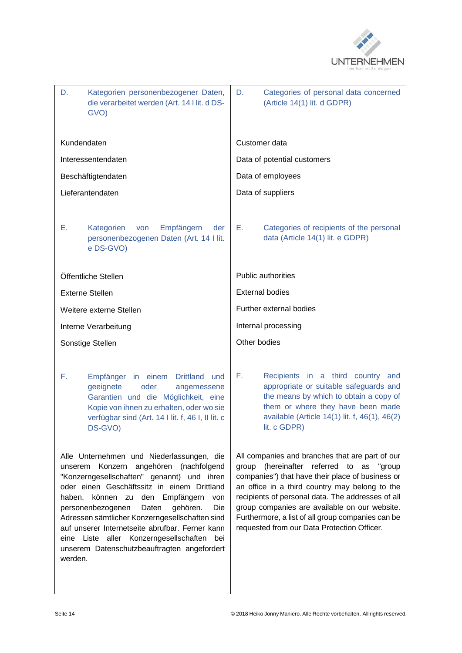

| D.                                                                                                                                                                                                                                                                                                                                                                                                                                                                                          | Kategorien personenbezogener Daten,<br>die verarbeitet werden (Art. 14 I lit. d DS-<br>GVO)                                                                                                                                   | D.<br>Categories of personal data concerned<br>(Article 14(1) lit. d GDPR)                                                                                                                                                                                                                                                                                                                                  |
|---------------------------------------------------------------------------------------------------------------------------------------------------------------------------------------------------------------------------------------------------------------------------------------------------------------------------------------------------------------------------------------------------------------------------------------------------------------------------------------------|-------------------------------------------------------------------------------------------------------------------------------------------------------------------------------------------------------------------------------|-------------------------------------------------------------------------------------------------------------------------------------------------------------------------------------------------------------------------------------------------------------------------------------------------------------------------------------------------------------------------------------------------------------|
| Kundendaten                                                                                                                                                                                                                                                                                                                                                                                                                                                                                 |                                                                                                                                                                                                                               | Customer data                                                                                                                                                                                                                                                                                                                                                                                               |
| Interessentendaten                                                                                                                                                                                                                                                                                                                                                                                                                                                                          |                                                                                                                                                                                                                               | Data of potential customers                                                                                                                                                                                                                                                                                                                                                                                 |
| Beschäftigtendaten                                                                                                                                                                                                                                                                                                                                                                                                                                                                          |                                                                                                                                                                                                                               | Data of employees                                                                                                                                                                                                                                                                                                                                                                                           |
|                                                                                                                                                                                                                                                                                                                                                                                                                                                                                             | Lieferantendaten                                                                                                                                                                                                              | Data of suppliers                                                                                                                                                                                                                                                                                                                                                                                           |
| Е.                                                                                                                                                                                                                                                                                                                                                                                                                                                                                          | Kategorien<br>Empfängern<br>von<br>der<br>personenbezogenen Daten (Art. 14 I lit.<br>e DS-GVO)                                                                                                                                | Е.<br>Categories of recipients of the personal<br>data (Article 14(1) lit. e GDPR)                                                                                                                                                                                                                                                                                                                          |
| Öffentliche Stellen                                                                                                                                                                                                                                                                                                                                                                                                                                                                         |                                                                                                                                                                                                                               | Public authorities                                                                                                                                                                                                                                                                                                                                                                                          |
|                                                                                                                                                                                                                                                                                                                                                                                                                                                                                             | <b>Externe Stellen</b>                                                                                                                                                                                                        | <b>External bodies</b>                                                                                                                                                                                                                                                                                                                                                                                      |
|                                                                                                                                                                                                                                                                                                                                                                                                                                                                                             | Weitere externe Stellen                                                                                                                                                                                                       | Further external bodies                                                                                                                                                                                                                                                                                                                                                                                     |
|                                                                                                                                                                                                                                                                                                                                                                                                                                                                                             | Interne Verarbeitung                                                                                                                                                                                                          | Internal processing                                                                                                                                                                                                                                                                                                                                                                                         |
| Sonstige Stellen                                                                                                                                                                                                                                                                                                                                                                                                                                                                            |                                                                                                                                                                                                                               | Other bodies                                                                                                                                                                                                                                                                                                                                                                                                |
| F.                                                                                                                                                                                                                                                                                                                                                                                                                                                                                          | in einem<br>Drittland und<br>Empfänger<br>geeignete<br>oder<br>angemessene<br>Garantien und die Möglichkeit, eine<br>Kopie von ihnen zu erhalten, oder wo sie<br>verfügbar sind (Art. 14 I lit. f, 46 I, II lit. c<br>DS-GVO) | F.<br>Recipients in a third country<br>and<br>appropriate or suitable safeguards and<br>the means by which to obtain a copy of<br>them or where they have been made<br>available (Article 14(1) lit. f, 46(1), 46(2)<br>lit. c GDPR)                                                                                                                                                                        |
| Alle Unternehmen und Niederlassungen, die<br>Konzern angehören (nachfolgend<br>unserem<br>"Konzerngesellschaften" genannt) und ihren<br>oder einen Geschäftssitz in einem Drittland<br>haben, können zu den Empfängern<br>von<br>personenbezogenen<br>gehören.<br>Die<br>Daten<br>Adressen sämtlicher Konzerngesellschaften sind<br>auf unserer Internetseite abrufbar. Ferner kann<br>eine Liste aller Konzerngesellschaften bei<br>unserem Datenschutzbeauftragten angefordert<br>werden. |                                                                                                                                                                                                                               | All companies and branches that are part of our<br>group (hereinafter referred to as "group<br>companies") that have their place of business or<br>an office in a third country may belong to the<br>recipients of personal data. The addresses of all<br>group companies are available on our website.<br>Furthermore, a list of all group companies can be<br>requested from our Data Protection Officer. |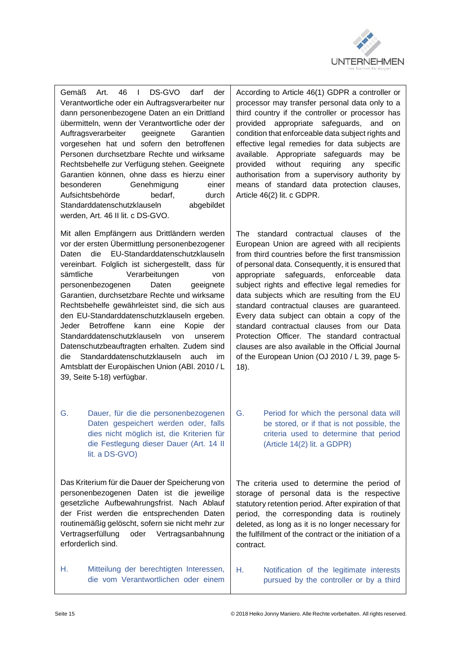

Gemäß Art. 46 I DS-GVO darf der Verantwortliche oder ein Auftragsverarbeiter nur dann personenbezogene Daten an ein Drittland übermitteln, wenn der Verantwortliche oder der Auftragsverarbeiter geeignete Garantien vorgesehen hat und sofern den betroffenen Personen durchsetzbare Rechte und wirksame Rechtsbehelfe zur Verfügung stehen. Geeignete Garantien können, ohne dass es hierzu einer besonderen Genehmigung einer Aufsichtsbehörde bedarf, durch Standarddatenschutzklauseln abgebildet werden, Art. 46 II lit. c DS-GVO.

Mit allen Empfängern aus Drittländern werden vor der ersten Übermittlung personenbezogener Daten die EU-Standarddatenschutzklauseln vereinbart. Folglich ist sichergestellt, dass für sämtliche Verarbeitungen von personenbezogenen Daten geeignete Garantien, durchsetzbare Rechte und wirksame Rechtsbehelfe gewährleistet sind, die sich aus den EU-Standarddatenschutzklauseln ergeben. Jeder Betroffene kann eine Kopie der Standarddatenschutzklauseln von unserem Datenschutzbeauftragten erhalten. Zudem sind die Standarddatenschutzklauseln auch im Amtsblatt der Europäischen Union (ABl. 2010 / L 39, Seite 5-18) verfügbar.

G. Dauer, für die die personenbezogenen Daten gespeichert werden oder, falls dies nicht möglich ist, die Kriterien für die Festlegung dieser Dauer (Art. 14 II lit. a DS-GVO)

Das Kriterium für die Dauer der Speicherung von personenbezogenen Daten ist die jeweilige gesetzliche Aufbewahrungsfrist. Nach Ablauf der Frist werden die entsprechenden Daten routinemäßig gelöscht, sofern sie nicht mehr zur Vertragserfüllung oder Vertragsanbahnung erforderlich sind.

H. Mitteilung der berechtigten Interessen, die vom Verantwortlichen oder einem According to Article 46(1) GDPR a controller or processor may transfer personal data only to a third country if the controller or processor has provided appropriate safeguards, and on condition that enforceable data subject rights and effective legal remedies for data subjects are available. Appropriate safeguards may be provided without requiring any specific authorisation from a supervisory authority by means of standard data protection clauses, Article 46(2) lit. c GDPR.

The standard contractual clauses of the European Union are agreed with all recipients from third countries before the first transmission of personal data. Consequently, it is ensured that appropriate safeguards, enforceable data subject rights and effective legal remedies for data subjects which are resulting from the EU standard contractual clauses are guaranteed. Every data subject can obtain a copy of the standard contractual clauses from our Data Protection Officer. The standard contractual clauses are also available in the Official Journal of the European Union (OJ 2010 / L 39, page 5- 18).

G. Period for which the personal data will be stored, or if that is not possible, the criteria used to determine that period (Article 14(2) lit. a GDPR)

The criteria used to determine the period of storage of personal data is the respective statutory retention period. After expiration of that period, the corresponding data is routinely deleted, as long as it is no longer necessary for the fulfillment of the contract or the initiation of a contract.

H. Notification of the legitimate interests pursued by the controller or by a third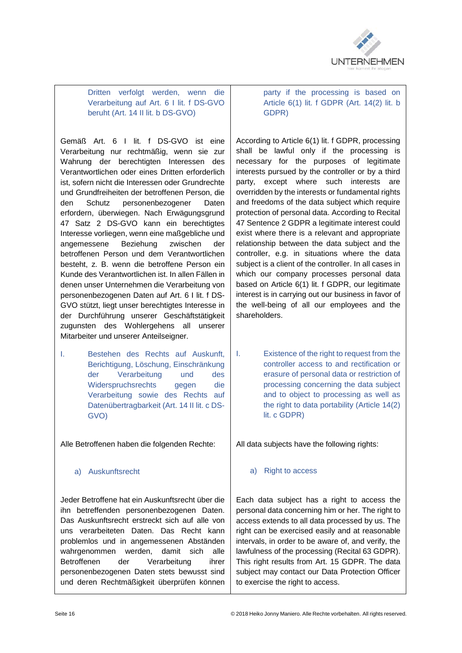

Dritten verfolgt werden, wenn die Verarbeitung auf Art. 6 I lit. f DS-GVO beruht (Art. 14 II lit. b DS-GVO)

Gemäß Art. 6 I lit. f DS-GVO ist eine Verarbeitung nur rechtmäßig, wenn sie zur Wahrung der berechtigten Interessen des Verantwortlichen oder eines Dritten erforderlich ist, sofern nicht die Interessen oder Grundrechte und Grundfreiheiten der betroffenen Person, die den Schutz personenbezogener Daten erfordern, überwiegen. Nach Erwägungsgrund 47 Satz 2 DS-GVO kann ein berechtigtes Interesse vorliegen, wenn eine maßgebliche und angemessene Beziehung zwischen der betroffenen Person und dem Verantwortlichen besteht, z. B. wenn die betroffene Person ein Kunde des Verantwortlichen ist. In allen Fällen in denen unser Unternehmen die Verarbeitung von personenbezogenen Daten auf Art. 6 I lit. f DS-GVO stützt, liegt unser berechtigtes Interesse in der Durchführung unserer Geschäftstätigkeit zugunsten des Wohlergehens all unserer Mitarbeiter und unserer Anteilseigner.

I. Bestehen des Rechts auf Auskunft, Berichtigung, Löschung, Einschränkung der Verarbeitung und des Widerspruchsrechts gegen die Verarbeitung sowie des Rechts auf Datenübertragbarkeit (Art. 14 II lit. c DS-GVO)

Alle Betroffenen haben die folgenden Rechte:

### a) Auskunftsrecht

Jeder Betroffene hat ein Auskunftsrecht über die ihn betreffenden personenbezogenen Daten. Das Auskunftsrecht erstreckt sich auf alle von uns verarbeiteten Daten. Das Recht kann problemlos und in angemessenen Abständen wahrgenommen werden, damit sich alle Betroffenen der Verarbeitung ihrer personenbezogenen Daten stets bewusst sind und deren Rechtmäßigkeit überprüfen können party if the processing is based on Article 6(1) lit. f GDPR (Art. 14(2) lit. b GDPR)

According to Article 6(1) lit. f GDPR, processing shall be lawful only if the processing is necessary for the purposes of legitimate interests pursued by the controller or by a third party, except where such interests are overridden by the interests or fundamental rights and freedoms of the data subject which require protection of personal data. According to Recital 47 Sentence 2 GDPR a legitimate interest could exist where there is a relevant and appropriate relationship between the data subject and the controller, e.g. in situations where the data subject is a client of the controller. In all cases in which our company processes personal data based on Article 6(1) lit. f GDPR, our legitimate interest is in carrying out our business in favor of the well-being of all our employees and the shareholders.

I. Existence of the right to request from the controller access to and rectification or erasure of personal data or restriction of processing concerning the data subject and to object to processing as well as the right to data portability (Article 14(2) lit. c GDPR)

All data subjects have the following rights:

#### a) Right to access

Each data subject has a right to access the personal data concerning him or her. The right to access extends to all data processed by us. The right can be exercised easily and at reasonable intervals, in order to be aware of, and verify, the lawfulness of the processing (Recital 63 GDPR). This right results from Art. 15 GDPR. The data subject may contact our Data Protection Officer to exercise the right to access.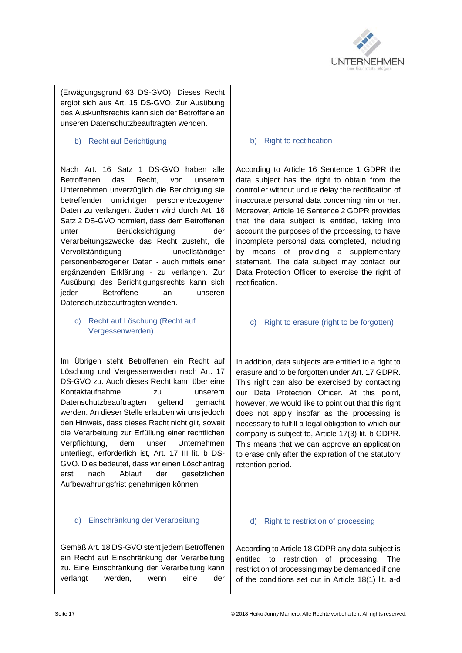

(Erwägungsgrund 63 DS-GVO). Dieses Recht ergibt sich aus Art. 15 DS-GVO. Zur Ausübung des Auskunftsrechts kann sich der Betroffene an unseren Datenschutzbeauftragten wenden.

b) Recht auf Berichtigung

Nach Art. 16 Satz 1 DS-GVO haben alle Betroffenen das Recht, von unserem Unternehmen unverzüglich die Berichtigung sie betreffender unrichtiger personenbezogener Daten zu verlangen. Zudem wird durch Art. 16 Satz 2 DS-GVO normiert, dass dem Betroffenen unter Berücksichtigung der Verarbeitungszwecke das Recht zusteht, die Vervollständigung unvollständiger personenbezogener Daten - auch mittels einer ergänzenden Erklärung - zu verlangen. Zur Ausübung des Berichtigungsrechts kann sich jeder Betroffene an unseren Datenschutzbeauftragten wenden.

c) Recht auf Löschung (Recht auf Vergessenwerden)

Im Übrigen steht Betroffenen ein Recht auf Löschung und Vergessenwerden nach Art. 17 DS-GVO zu. Auch dieses Recht kann über eine Kontaktaufnahme zu unserem Datenschutzbeauftragten geltend gemacht werden. An dieser Stelle erlauben wir uns jedoch den Hinweis, dass dieses Recht nicht gilt, soweit die Verarbeitung zur Erfüllung einer rechtlichen Verpflichtung, dem unser Unternehmen unterliegt, erforderlich ist, Art. 17 III lit. b DS-GVO. Dies bedeutet, dass wir einen Löschantrag erst nach Ablauf der gesetzlichen Aufbewahrungsfrist genehmigen können.

### d) Einschränkung der Verarbeitung

Gemäß Art. 18 DS-GVO steht jedem Betroffenen ein Recht auf Einschränkung der Verarbeitung zu. Eine Einschränkung der Verarbeitung kann verlangt werden, wenn eine der

#### b) Right to rectification

According to Article 16 Sentence 1 GDPR the data subject has the right to obtain from the controller without undue delay the rectification of inaccurate personal data concerning him or her. Moreover, Article 16 Sentence 2 GDPR provides that the data subject is entitled, taking into account the purposes of the processing, to have incomplete personal data completed, including by means of providing a supplementary statement. The data subject may contact our Data Protection Officer to exercise the right of rectification.

c) Right to erasure (right to be forgotten)

In addition, data subjects are entitled to a right to erasure and to be forgotten under Art. 17 GDPR. This right can also be exercised by contacting our Data Protection Officer. At this point, however, we would like to point out that this right does not apply insofar as the processing is necessary to fulfill a legal obligation to which our company is subject to, Article 17(3) lit. b GDPR. This means that we can approve an application to erase only after the expiration of the statutory retention period.

### d) Right to restriction of processing

According to Article 18 GDPR any data subject is entitled to restriction of processing. The restriction of processing may be demanded if one of the conditions set out in Article 18(1) lit. a-d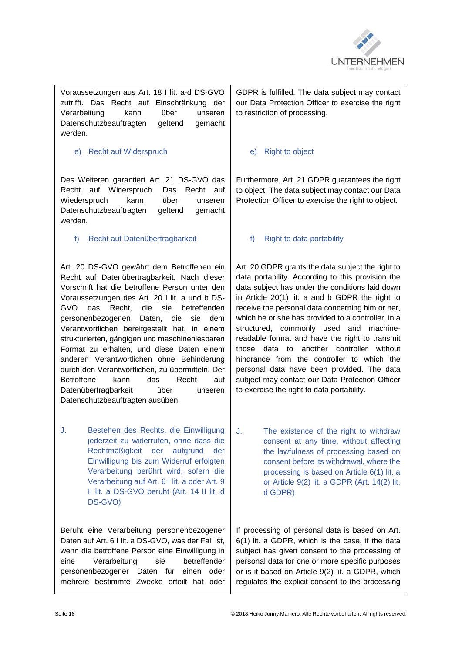

Voraussetzungen aus Art. 18 I lit. a-d DS-GVO zutrifft. Das Recht auf Einschränkung der Verarbeitung kann über unseren Datenschutzbeauftragten geltend gemacht werden.

e) Recht auf Widerspruch

Des Weiteren garantiert Art. 21 DS-GVO das Recht auf Widerspruch. Das Recht auf Wiederspruch kann über unseren Datenschutzbeauftragten geltend gemacht werden.

f) Recht auf Datenübertragbarkeit

Art. 20 DS-GVO gewährt dem Betroffenen ein Recht auf Datenübertragbarkeit. Nach dieser Vorschrift hat die betroffene Person unter den Voraussetzungen des Art. 20 I lit. a und b DS-GVO das Recht, die sie betreffenden personenbezogenen Daten, die sie dem Verantwortlichen bereitgestellt hat, in einem strukturierten, gängigen und maschinenlesbaren Format zu erhalten, und diese Daten einem anderen Verantwortlichen ohne Behinderung durch den Verantwortlichen, zu übermitteln. Der Betroffene kann das Recht auf Datenübertragbarkeit über unseren Datenschutzbeauftragten ausüben.

J. Bestehen des Rechts, die Einwilligung jederzeit zu widerrufen, ohne dass die Rechtmäßigkeit der aufgrund der Einwilligung bis zum Widerruf erfolgten Verarbeitung berührt wird, sofern die Verarbeitung auf Art. 6 I lit. a oder Art. 9 II lit. a DS-GVO beruht (Art. 14 II lit. d DS-GVO)

Beruht eine Verarbeitung personenbezogener Daten auf Art. 6 I lit. a DS-GVO, was der Fall ist, wenn die betroffene Person eine Einwilligung in eine Verarbeitung sie betreffender personenbezogener Daten für einen oder mehrere bestimmte Zwecke erteilt hat oder GDPR is fulfilled. The data subject may contact our Data Protection Officer to exercise the right to restriction of processing.

## e) Right to object

Furthermore, Art. 21 GDPR guarantees the right to object. The data subject may contact our Data Protection Officer to exercise the right to object.

## f) Right to data portability

Art. 20 GDPR grants the data subject the right to data portability. According to this provision the data subject has under the conditions laid down in Article 20(1) lit. a and b GDPR the right to receive the personal data concerning him or her, which he or she has provided to a controller, in a structured, commonly used and machinereadable format and have the right to transmit those data to another controller without hindrance from the controller to which the personal data have been provided. The data subject may contact our Data Protection Officer to exercise the right to data portability.

J. The existence of the right to withdraw consent at any time, without affecting the lawfulness of processing based on consent before its withdrawal, where the processing is based on Article 6(1) lit. a or Article 9(2) lit. a GDPR (Art. 14(2) lit. d GDPR)

If processing of personal data is based on Art. 6(1) lit. a GDPR, which is the case, if the data subject has given consent to the processing of personal data for one or more specific purposes or is it based on Article 9(2) lit. a GDPR, which regulates the explicit consent to the processing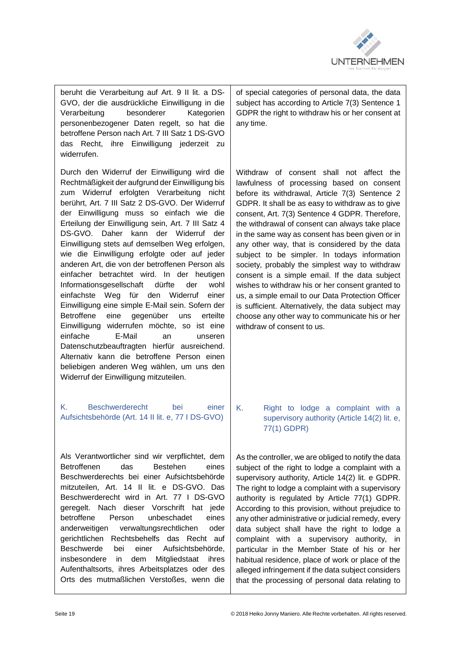

beruht die Verarbeitung auf Art. 9 II lit. a DS-GVO, der die ausdrückliche Einwilligung in die Verarbeitung besonderer Kategorien personenbezogener Daten regelt, so hat die betroffene Person nach Art. 7 III Satz 1 DS-GVO das Recht, ihre Einwilligung jederzeit zu widerrufen.

Durch den Widerruf der Einwilligung wird die Rechtmäßigkeit der aufgrund der Einwilligung bis zum Widerruf erfolgten Verarbeitung nicht berührt, Art. 7 III Satz 2 DS-GVO. Der Widerruf der Einwilligung muss so einfach wie die Erteilung der Einwilligung sein, Art. 7 III Satz 4 DS-GVO. Daher kann der Widerruf der Einwilligung stets auf demselben Weg erfolgen, wie die Einwilligung erfolgte oder auf jeder anderen Art, die von der betroffenen Person als einfacher betrachtet wird. In der heutigen Informationsgesellschaft dürfte der wohl einfachste Weg für den Widerruf einer Einwilligung eine simple E-Mail sein. Sofern der Betroffene eine gegenüber uns erteilte Einwilligung widerrufen möchte, so ist eine einfache E-Mail an unseren Datenschutzbeauftragten hierfür ausreichend. Alternativ kann die betroffene Person einen beliebigen anderen Weg wählen, um uns den Widerruf der Einwilligung mitzuteilen.

K. Beschwerderecht bei einer Aufsichtsbehörde (Art. 14 II lit. e, 77 I DS-GVO)

Als Verantwortlicher sind wir verpflichtet, dem Betroffenen das Bestehen eines Beschwerderechts bei einer Aufsichtsbehörde mitzuteilen, Art. 14 II lit. e DS-GVO. Das Beschwerderecht wird in Art. 77 I DS-GVO geregelt. Nach dieser Vorschrift hat jede betroffene Person unbeschadet eines anderweitigen verwaltungsrechtlichen oder gerichtlichen Rechtsbehelfs das Recht auf Beschwerde bei einer Aufsichtsbehörde, insbesondere in dem Mitgliedstaat ihres Aufenthaltsorts, ihres Arbeitsplatzes oder des Orts des mutmaßlichen Verstoßes, wenn die of special categories of personal data, the data subject has according to Article 7(3) Sentence 1 GDPR the right to withdraw his or her consent at any time.

Withdraw of consent shall not affect the lawfulness of processing based on consent before its withdrawal, Article 7(3) Sentence 2 GDPR. It shall be as easy to withdraw as to give consent, Art. 7(3) Sentence 4 GDPR. Therefore, the withdrawal of consent can always take place in the same way as consent has been given or in any other way, that is considered by the data subject to be simpler. In todays information society, probably the simplest way to withdraw consent is a simple email. If the data subject wishes to withdraw his or her consent granted to us, a simple email to our Data Protection Officer is sufficient. Alternatively, the data subject may choose any other way to communicate his or her withdraw of consent to us.

K. Right to lodge a complaint with a supervisory authority (Article 14(2) lit. e, 77(1) GDPR)

As the controller, we are obliged to notify the data subject of the right to lodge a complaint with a supervisory authority, Article 14(2) lit. e GDPR. The right to lodge a complaint with a supervisory authority is regulated by Article 77(1) GDPR. According to this provision, without prejudice to any other administrative or judicial remedy, every data subject shall have the right to lodge a complaint with a supervisory authority, in particular in the Member State of his or her habitual residence, place of work or place of the alleged infringement if the data subject considers that the processing of personal data relating to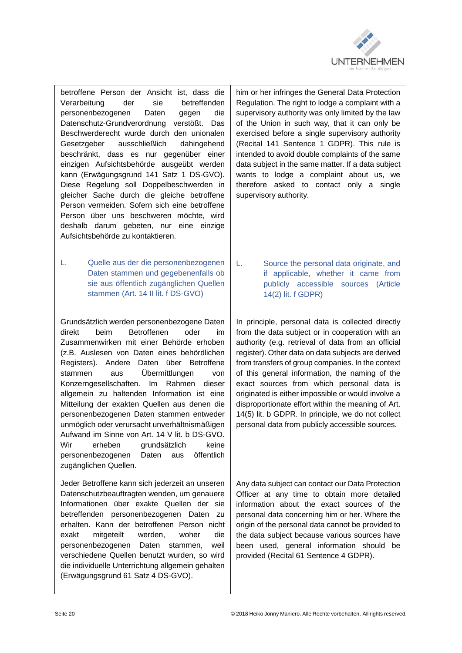

betroffene Person der Ansicht ist, dass die Verarbeitung der sie betreffenden personenbezogenen Daten gegen die Datenschutz-Grundverordnung verstößt. Das Beschwerderecht wurde durch den unionalen Gesetzgeber ausschließlich dahingehend beschränkt, dass es nur gegenüber einer einzigen Aufsichtsbehörde ausgeübt werden kann (Erwägungsgrund 141 Satz 1 DS-GVO). Diese Regelung soll Doppelbeschwerden in gleicher Sache durch die gleiche betroffene Person vermeiden. Sofern sich eine betroffene Person über uns beschweren möchte, wird deshalb darum gebeten, nur eine einzige Aufsichtsbehörde zu kontaktieren.

L. Quelle aus der die personenbezogenen Daten stammen und gegebenenfalls ob sie aus öffentlich zugänglichen Quellen stammen (Art. 14 II lit. f DS-GVO)

Grundsätzlich werden personenbezogene Daten direkt beim Betroffenen oder im Zusammenwirken mit einer Behörde erhoben (z.B. Auslesen von Daten eines behördlichen Registers). Andere Daten über Betroffene stammen aus Übermittlungen von Konzerngesellschaften. Im Rahmen dieser allgemein zu haltenden Information ist eine Mitteilung der exakten Quellen aus denen die personenbezogenen Daten stammen entweder unmöglich oder verursacht unverhältnismäßigen Aufwand im Sinne von Art. 14 V lit. b DS-GVO. Wir erheben grundsätzlich keine personenbezogenen Daten aus öffentlich zugänglichen Quellen.

Jeder Betroffene kann sich jederzeit an unseren Datenschutzbeauftragten wenden, um genauere Informationen über exakte Quellen der sie betreffenden personenbezogenen Daten zu erhalten. Kann der betroffenen Person nicht exakt mitgeteilt werden, woher die personenbezogenen Daten stammen, weil verschiedene Quellen benutzt wurden, so wird die individuelle Unterrichtung allgemein gehalten (Erwägungsgrund 61 Satz 4 DS-GVO).

him or her infringes the General Data Protection Regulation. The right to lodge a complaint with a supervisory authority was only limited by the law of the Union in such way, that it can only be exercised before a single supervisory authority (Recital 141 Sentence 1 GDPR). This rule is intended to avoid double complaints of the same data subject in the same matter. If a data subject wants to lodge a complaint about us, we therefore asked to contact only a single supervisory authority.

L. Source the personal data originate, and if applicable, whether it came from publicly accessible sources (Article 14(2) lit. f GDPR)

In principle, personal data is collected directly from the data subject or in cooperation with an authority (e.g. retrieval of data from an official register). Other data on data subjects are derived from transfers of group companies. In the context of this general information, the naming of the exact sources from which personal data is originated is either impossible or would involve a disproportionate effort within the meaning of Art. 14(5) lit. b GDPR. In principle, we do not collect personal data from publicly accessible sources.

Any data subject can contact our Data Protection Officer at any time to obtain more detailed information about the exact sources of the personal data concerning him or her. Where the origin of the personal data cannot be provided to the data subject because various sources have been used, general information should be provided (Recital 61 Sentence 4 GDPR).